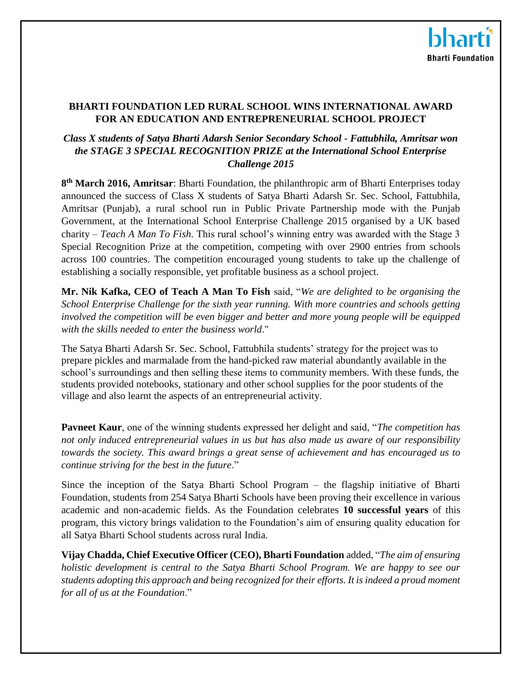## **BHARTI FOUNDATION LED RURAL SCHOOL WINS INTERNATIONAL AWARD FOR AN EDUCATION AND ENTREPRENEURIAL SCHOOL PROJECT**

# *Class X students of Satya Bharti Adarsh Senior Secondary School - Fattubhila, Amritsar won the STAGE 3 SPECIAL RECOGNITION PRIZE at the International School Enterprise Challenge 2015*

**8 th March 2016, Amritsar**: Bharti Foundation, the philanthropic arm of Bharti Enterprises today announced the success of Class X students of Satya Bharti Adarsh Sr. Sec. School, Fattubhila, Amritsar (Punjab), a rural school run in Public Private Partnership mode with the Punjab Government, at the International School Enterprise Challenge 2015 organised by a UK based charity – *Teach A Man To Fish*. This rural school's winning entry was awarded with the Stage 3 Special Recognition Prize at the competition, competing with over 2900 entries from schools across 100 countries. The competition encouraged young students to take up the challenge of establishing a socially responsible, yet profitable business as a school project.

**Mr. Nik Kafka, CEO of Teach A Man To Fish** said, "*We are delighted to be organising the School Enterprise Challenge for the sixth year running. With more countries and schools getting involved the competition will be even bigger and better and more young people will be equipped with the skills needed to enter the business world*."

The Satya Bharti Adarsh Sr. Sec. School, Fattubhila students' strategy for the project was to prepare pickles and marmalade from the hand-picked raw material abundantly available in the school's surroundings and then selling these items to community members. With these funds, the students provided notebooks, stationary and other school supplies for the poor students of the village and also learnt the aspects of an entrepreneurial activity.

**Pavneet Kaur**, one of the winning students expressed her delight and said, "*The competition has not only induced entrepreneurial values in us but has also made us aware of our responsibility towards the society. This award brings a great sense of achievement and has encouraged us to continue striving for the best in the future*."

Since the inception of the Satya Bharti School Program – the flagship initiative of Bharti Foundation, students from 254 Satya Bharti Schools have been proving their excellence in various academic and non-academic fields. As the Foundation celebrates **10 successful years** of this program, this victory brings validation to the Foundation's aim of ensuring quality education for all Satya Bharti School students across rural India.

**Vijay Chadda, Chief Executive Officer (CEO), Bharti Foundation** added, "*The aim of ensuring holistic development is central to the Satya Bharti School Program. We are happy to see our students adopting this approach and being recognized for their efforts. It is indeed a proud moment for all of us at the Foundation*."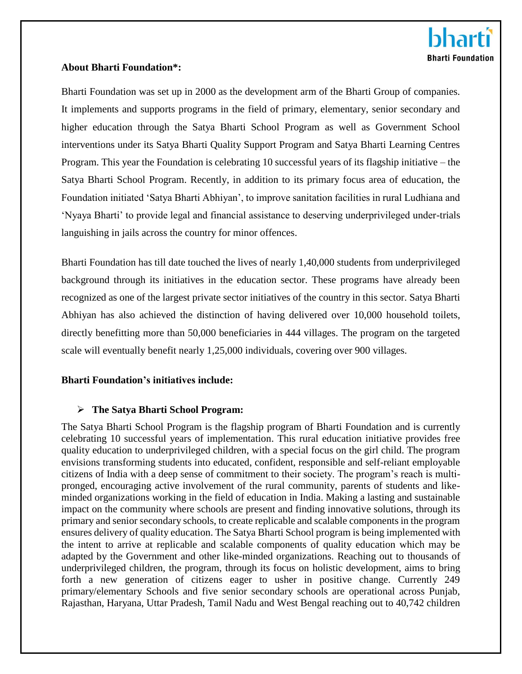#### **About Bharti Foundation\*:**

Bharti Foundation was set up in 2000 as the development arm of the Bharti Group of companies. It implements and supports programs in the field of primary, elementary, senior secondary and higher education through the Satya Bharti School Program as well as Government School interventions under its Satya Bharti Quality Support Program and Satya Bharti Learning Centres Program. This year the Foundation is celebrating 10 successful years of its flagship initiative – the Satya Bharti School Program. Recently, in addition to its primary focus area of education, the Foundation initiated 'Satya Bharti Abhiyan', to improve sanitation facilities in rural Ludhiana and 'Nyaya Bharti' to provide legal and financial assistance to deserving underprivileged under-trials languishing in jails across the country for minor offences.

Bharti Foundation has till date touched the lives of nearly 1,40,000 students from underprivileged background through its initiatives in the education sector. These programs have already been recognized as one of the largest private sector initiatives of the country in this sector. Satya Bharti Abhiyan has also achieved the distinction of having delivered over 10,000 household toilets, directly benefitting more than 50,000 beneficiaries in 444 villages. The program on the targeted scale will eventually benefit nearly 1,25,000 individuals, covering over 900 villages.

## **Bharti Foundation's initiatives include:**

## **The Satya Bharti School Program:**

The Satya Bharti School Program is the flagship program of Bharti Foundation and is currently celebrating 10 successful years of implementation. This rural education initiative provides free quality education to underprivileged children, with a special focus on the girl child. The program envisions transforming students into educated, confident, responsible and self-reliant employable citizens of India with a deep sense of commitment to their society. The program's reach is multipronged, encouraging active involvement of the rural community, parents of students and likeminded organizations working in the field of education in India. Making a lasting and sustainable impact on the community where schools are present and finding innovative solutions, through its primary and senior secondary schools, to create replicable and scalable components in the program ensures delivery of quality education. The Satya Bharti School program is being implemented with the intent to arrive at replicable and scalable components of quality education which may be adapted by the Government and other like-minded organizations. Reaching out to thousands of underprivileged children, the program, through its focus on holistic development, aims to bring forth a new generation of citizens eager to usher in positive change. Currently 249 primary/elementary Schools and five senior secondary schools are operational across Punjab, Rajasthan, Haryana, Uttar Pradesh, Tamil Nadu and West Bengal reaching out to 40,742 children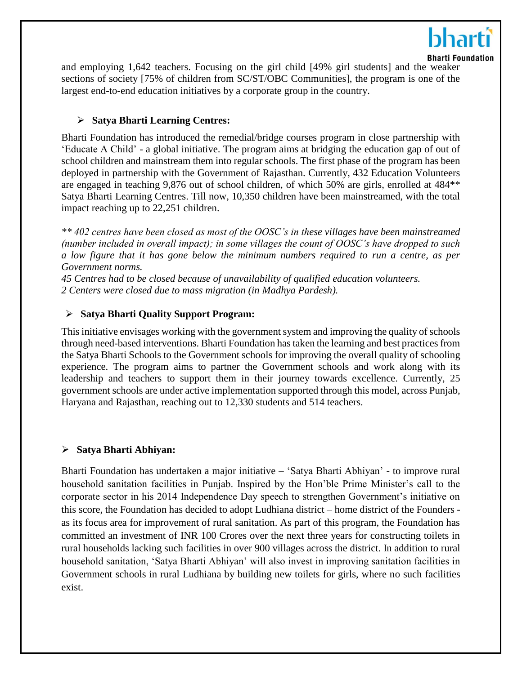

and employing 1,642 teachers. Focusing on the girl child [49% girl students] and the weaker sections of society [75% of children from SC/ST/OBC Communities], the program is one of the largest end-to-end education initiatives by a corporate group in the country.

#### **Satya Bharti Learning Centres:**

Bharti Foundation has introduced the remedial/bridge courses program in close partnership with 'Educate A Child' - a global initiative. The program aims at bridging the education gap of out of school children and mainstream them into regular schools. The first phase of the program has been deployed in partnership with the Government of Rajasthan. Currently, 432 Education Volunteers are engaged in teaching 9,876 out of school children, of which 50% are girls, enrolled at 484\*\* Satya Bharti Learning Centres. Till now, 10,350 children have been mainstreamed, with the total impact reaching up to 22,251 children.

*\*\* 402 centres have been closed as most of the OOSC's in these villages have been mainstreamed (number included in overall impact); in some villages the count of OOSC's have dropped to such a low figure that it has gone below the minimum numbers required to run a centre, as per Government norms.* 

*45 Centres had to be closed because of unavailability of qualified education volunteers. 2 Centers were closed due to mass migration (in Madhya Pardesh).*

#### **Satya Bharti Quality Support Program:**

This initiative envisages working with the government system and improving the quality of schools through need-based interventions. Bharti Foundation has taken the learning and best practices from the Satya Bharti Schools to the Government schools for improving the overall quality of schooling experience. The program aims to partner the Government schools and work along with its leadership and teachers to support them in their journey towards excellence. Currently, 25 government schools are under active implementation supported through this model, across Punjab, Haryana and Rajasthan, reaching out to 12,330 students and 514 teachers.

## **Satya Bharti Abhiyan:**

Bharti Foundation has undertaken a major initiative – 'Satya Bharti Abhiyan' - to improve rural household sanitation facilities in Punjab. Inspired by the Hon'ble Prime Minister's call to the corporate sector in his 2014 Independence Day speech to strengthen Government's initiative on this score, the Foundation has decided to adopt Ludhiana district – home district of the Founders as its focus area for improvement of rural sanitation. As part of this program, the Foundation has committed an investment of INR 100 Crores over the next three years for constructing toilets in rural households lacking such facilities in over 900 villages across the district. In addition to rural household sanitation, 'Satya Bharti Abhiyan' will also invest in improving sanitation facilities in Government schools in rural Ludhiana by building new toilets for girls, where no such facilities exist.